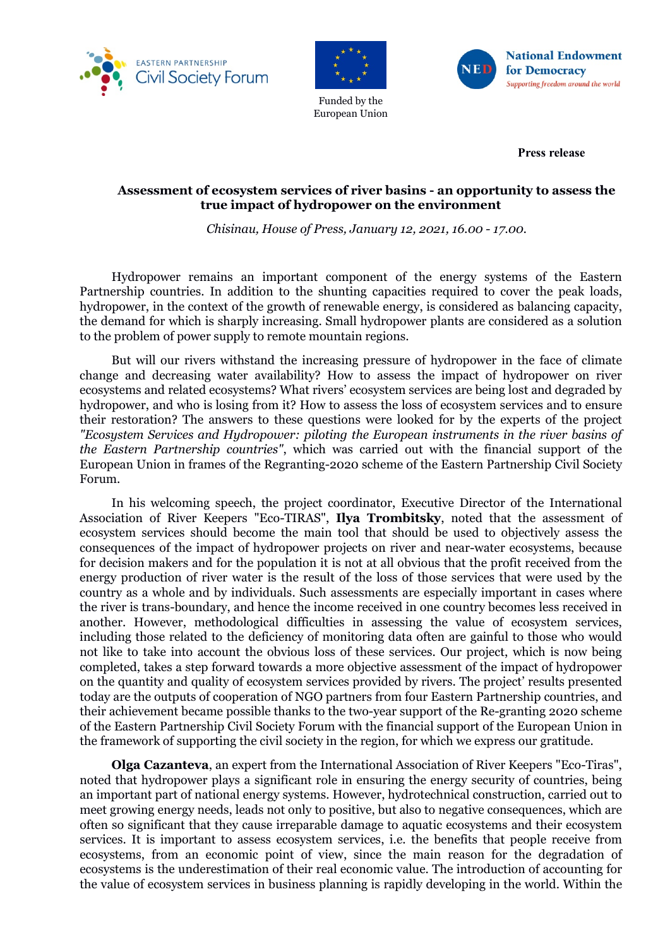



European Union

**National Endowment** VET for Democracy Supporting freedom around the world

**Press release**

## **Assessment of ecosystem services of river basins - an opportunity to assess the true impact of hydropower on the environment**

*Chisinau, House of Press, January 12, 2021, 16.00 - 17.00.*

Hydropower remains an important component of the energy systems of the Eastern Partnership countries. In addition to the shunting capacities required to cover the peak loads, hydropower, in the context of the growth of renewable energy, is considered as balancing capacity, the demand for which is sharply increasing. Small hydropower plants are considered as a solution to the problem of power supply to remote mountain regions.

But will our rivers withstand the increasing pressure of hydropower in the face of climate change and decreasing water availability? How to assess the impact of hydropower on river ecosystems and related ecosystems? What rivers' ecosystem services are being lost and degraded by hydropower, and who is losing from it? How to assess the loss of ecosystem services and to ensure their restoration? The answers to these questions were looked for by the experts of the project *"Ecosystem Services and Hydropower: piloting the European instruments in the river basins of the Eastern Partnership countries"*, which was carried out with the financial support of the European Union in frames of the Regranting-2020 scheme of the Eastern Partnership Civil Society Forum.

In his welcoming speech, the project coordinator, Executive Director of the International Association of River Keepers "Eco-TIRAS", **Ilya Trombitsky**, noted that the assessment of ecosystem services should become the main tool that should be used to objectively assess the consequences of the impact of hydropower projects on river and near-water ecosystems, because for decision makers and for the population it is not at all obvious that the profit received from the energy production of river water is the result of the loss of those services that were used by the country as a whole and by individuals. Such assessments are especially important in cases where the river is trans-boundary, and hence the income received in one country becomes less received in another. However, methodological difficulties in assessing the value of ecosystem services, including those related to the deficiency of monitoring data often are gainful to those who would not like to take into account the obvious loss of these services. Our project, which is now being completed, takes a step forward towards a more objective assessment of the impact of hydropower on the quantity and quality of ecosystem services provided by rivers. The project' results presented today are the outputs of cooperation of NGO partners from four Eastern Partnership countries, and their achievement became possible thanks to the two-year support of the Re-granting 2020 scheme of the Eastern Partnership Civil Society Forum with the financial support of the European Union in the framework of supporting the civil society in the region, for which we express our gratitude.

**Olga Cazanteva**, an expert from the International Association of River Keepers "Eco-Tiras", noted that hydropower plays a significant role in ensuring the energy security of countries, being an important part of national energy systems. However, hydrotechnical construction, carried out to meet growing energy needs, leads not only to positive, but also to negative consequences, which are often so significant that they cause irreparable damage to aquatic ecosystems and their ecosystem services. It is important to assess ecosystem services, i.e. the benefits that people receive from ecosystems, from an economic point of view, since the main reason for the degradation of ecosystems is the underestimation of their real economic value. The introduction of accounting for the value of ecosystem services in business planning is rapidly developing in the world. Within the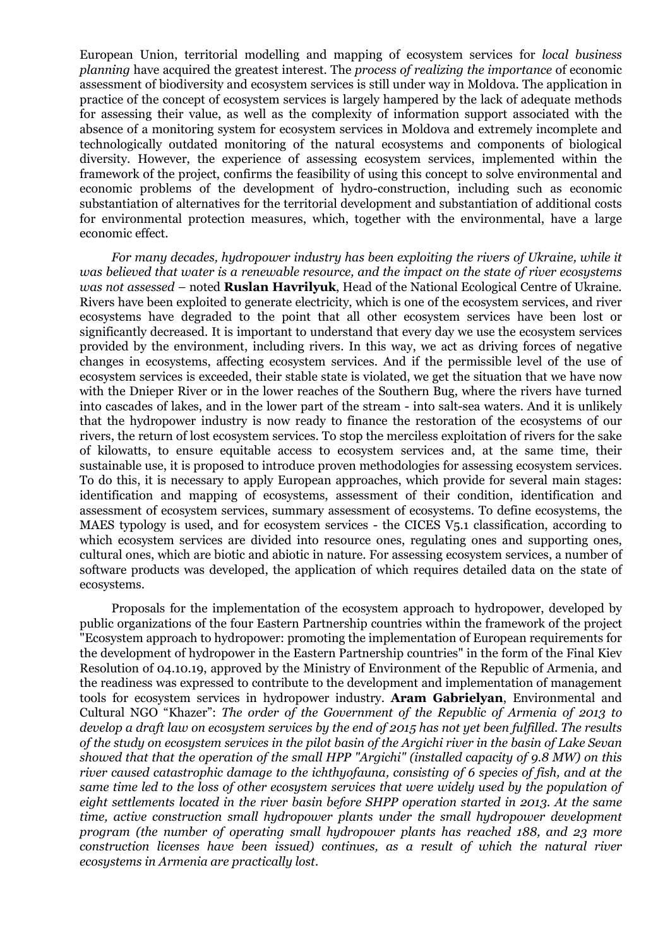European Union, territorial modelling and mapping of ecosystem services for *local business planning* have acquired the greatest interest. The *process of realizing the importance* of economic assessment of biodiversity and ecosystem services is still under way in Moldova. The application in practice of the concept of ecosystem services is largely hampered by the lack of adequate methods for assessing their value, as well as the complexity of information support associated with the absence of a monitoring system for ecosystem services in Moldova and extremely incomplete and technologically outdated monitoring of the natural ecosystems and components of biological diversity. However, the experience of assessing ecosystem services, implemented within the framework of the project, confirms the feasibility of using this concept to solve environmental and economic problems of the development of hydro-construction, including such as economic substantiation of alternatives for the territorial development and substantiation of additional costs for environmental protection measures, which, together with the environmental, have a large economic effect.

*For many decades, hydropower industry has been exploiting the rivers of Ukraine, while it was believed that water is a renewable resource, and the impact on the state of river ecosystems was not assessed –* noted **Ruslan Havrilyuk**, Head of the National Ecological Centre of Ukraine. Rivers have been exploited to generate electricity, which is one of the ecosystem services, and river ecosystems have degraded to the point that all other ecosystem services have been lost or significantly decreased. It is important to understand that every day we use the ecosystem services provided by the environment, including rivers. In this way, we act as driving forces of negative changes in ecosystems, affecting ecosystem services. And if the permissible level of the use of ecosystem services is exceeded, their stable state is violated, we get the situation that we have now with the Dnieper River or in the lower reaches of the Southern Bug, where the rivers have turned into cascades of lakes, and in the lower part of the stream - into salt-sea waters. And it is unlikely that the hydropower industry is now ready to finance the restoration of the ecosystems of our rivers, the return of lost ecosystem services. To stop the merciless exploitation of rivers for the sake of kilowatts, to ensure equitable access to ecosystem services and, at the same time, their sustainable use, it is proposed to introduce proven methodologies for assessing ecosystem services. To do this, it is necessary to apply European approaches, which provide for several main stages: identification and mapping of ecosystems, assessment of their condition, identification and assessment of ecosystem services, summary assessment of ecosystems. To define ecosystems, the MAES typology is used, and for ecosystem services - the CICES V5.1 classification, according to which ecosystem services are divided into resource ones, regulating ones and supporting ones, cultural ones, which are biotic and abiotic in nature. For assessing ecosystem services, a number of software products was developed, the application of which requires detailed data on the state of ecosystems.

Proposals for the implementation of the ecosystem approach to hydropower, developed by public organizations of the four Eastern Partnership countries within the framework of the project "Ecosystem approach to hydropower: promoting the implementation of European requirements for the development of hydropower in the Eastern Partnership countries" in the form of the Final Kiev Resolution of 04.10.19, approved by the Ministry of Environment of the Republic of Armenia, and the readiness was expressed to contribute to the development and implementation of management tools for ecosystem services in hydropower industry. **Aram Gabrielyan**, Environmental and Cultural NGO "Khazer": *The order of the Government of the Republic of Armenia of 2013 to develop a draft law on ecosystem services by the end of 2015 has not yet been fulfilled. The results of the study on ecosystem services in the pilot basin of the Argichi river in the basin of Lake Sevan showed that that the operation of the small HPP "Argichi" (installed capacity of 9.8 MW) on this river caused catastrophic damage to the ichthyofauna, consisting of 6 species of fish, and at the same time led to the loss of other ecosystem services that were widely used by the population of eight settlements located in the river basin before SHPP operation started in 2013. At the same time, active construction small hydropower plants under the small hydropower development program (the number of operating small hydropower plants has reached 188, and 23 more construction licenses have been issued) continues, as a result of which the natural river ecosystems in Armenia are practically lost.*